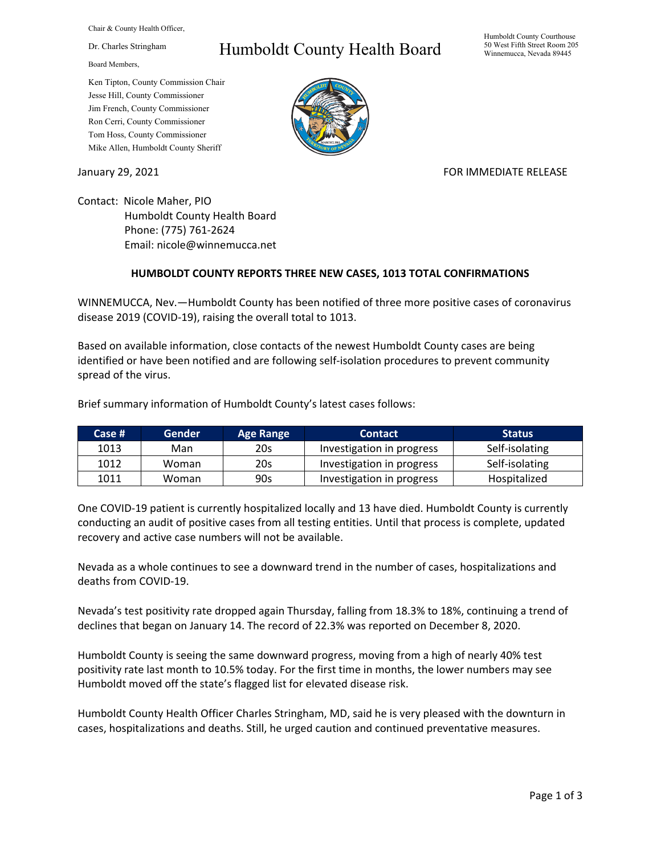Chair & County Health Officer,

Dr. Charles Stringham

Board Members,

## Ken Tipton, County Commission Chair Jesse Hill, County Commissioner Jim French, County Commissioner Ron Cerri, County Commissioner Tom Hoss, County Commissioner Mike Allen, Humboldt County Sheriff

## Humboldt County Health Board



## January 29, 2021 **FOR IMMEDIATE RELEASE**

Contact: Nicole Maher, PIO Humboldt County Health Board Phone: (775) 761-2624 Email: nicole@winnemucca.net

## **HUMBOLDT COUNTY REPORTS THREE NEW CASES, 1013 TOTAL CONFIRMATIONS**

WINNEMUCCA, Nev.—Humboldt County has been notified of three more positive cases of coronavirus disease 2019 (COVID-19), raising the overall total to 1013.

Based on available information, close contacts of the newest Humboldt County cases are being identified or have been notified and are following self-isolation procedures to prevent community spread of the virus.

Brief summary information of Humboldt County's latest cases follows:

| Case # | Gender | <b>Age Range</b> | <b>Contact</b>            | <b>Status</b>  |
|--------|--------|------------------|---------------------------|----------------|
| 1013   | Man    | 20s              | Investigation in progress | Self-isolating |
| 1012   | Woman  | 20s              | Investigation in progress | Self-isolating |
| 1011   | Woman  | 90s              | Investigation in progress | Hospitalized   |

One COVID-19 patient is currently hospitalized locally and 13 have died. Humboldt County is currently conducting an audit of positive cases from all testing entities. Until that process is complete, updated recovery and active case numbers will not be available.

Nevada as a whole continues to see a downward trend in the number of cases, hospitalizations and deaths from COVID-19.

Nevada's test positivity rate dropped again Thursday, falling from 18.3% to 18%, continuing a trend of declines that began on January 14. The record of 22.3% was reported on December 8, 2020.

Humboldt County is seeing the same downward progress, moving from a high of nearly 40% test positivity rate last month to 10.5% today. For the first time in months, the lower numbers may see Humboldt moved off the state's flagged list for elevated disease risk.

Humboldt County Health Officer Charles Stringham, MD, said he is very pleased with the downturn in cases, hospitalizations and deaths. Still, he urged caution and continued preventative measures.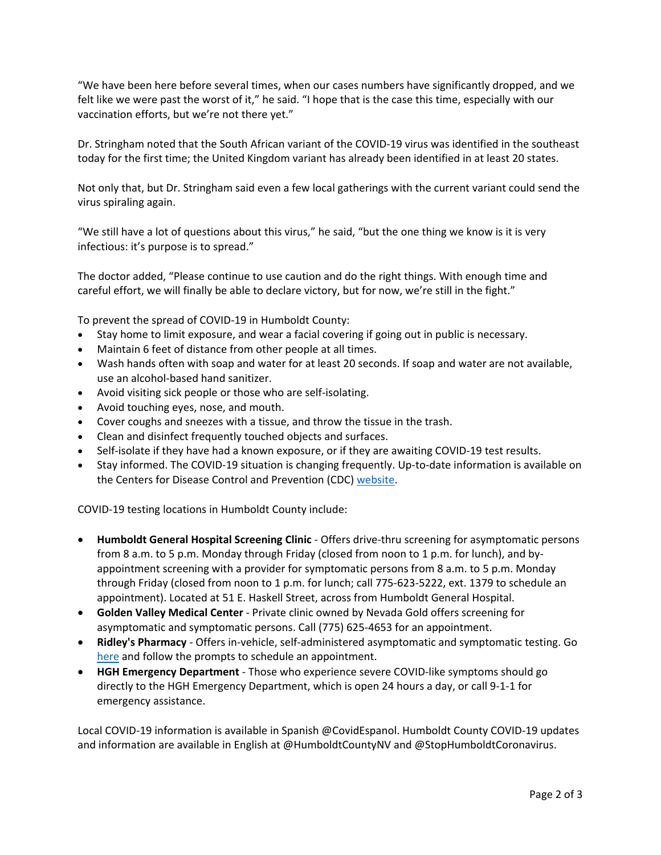"We have been here before several times, when our cases numbers have significantly dropped, and we felt like we were past the worst of it," he said. "I hope that is the case this time, especially with our vaccination efforts, but we're not there yet."

Dr. Stringham noted that the South African variant of the COVID-19 virus was identified in the southeast today for the first time; the United Kingdom variant has already been identified in at least 20 states.

Not only that, but Dr. Stringham said even a few local gatherings with the current variant could send the virus spiraling again.

"We still have a lot of questions about this virus," he said, "but the one thing we know is it is very infectious: it's purpose is to spread."

The doctor added, "Please continue to use caution and do the right things. With enough time and careful effort, we will finally be able to declare victory, but for now, we're still in the fight."

To prevent the spread of COVID-19 in Humboldt County:

- Stay home to limit exposure, and wear a facial covering if going out in public is necessary.
- Maintain 6 feet of distance from other people at all times.
- Wash hands often with soap and water for at least 20 seconds. If soap and water are not available, use an alcohol-based hand sanitizer.
- Avoid visiting sick people or those who are self-isolating.
- Avoid touching eyes, nose, and mouth.
- Cover coughs and sneezes with a tissue, and throw the tissue in the trash.
- Clean and disinfect frequently touched objects and surfaces.
- Self-isolate if they have had a known exposure, or if they are awaiting COVID-19 test results.
- Stay informed. The COVID-19 situation is changing frequently. Up-to-date information is available on the Centers for Disease Control and Prevention (CDC) [website.](http://www.cdc.gov/coronavirus/2019-ncov/index.html)

COVID-19 testing locations in Humboldt County include:

- **Humboldt General Hospital Screening Clinic** Offers drive-thru screening for asymptomatic persons from 8 a.m. to 5 p.m. Monday through Friday (closed from noon to 1 p.m. for lunch), and byappointment screening with a provider for symptomatic persons from 8 a.m. to 5 p.m. Monday through Friday (closed from noon to 1 p.m. for lunch; call 775-623-5222, ext. 1379 to schedule an appointment). Located at 51 E. Haskell Street, across from Humboldt General Hospital.
- **Golden Valley Medical Center** Private clinic owned by Nevada Gold offers screening for asymptomatic and symptomatic persons. Call (775) 625-4653 for an appointment.
- **Ridley's Pharmacy** Offers in-vehicle, self-administered asymptomatic and symptomatic testing. Go [here](https://www.doineedacovid19test.com/Winnemucca_NV_1098.html) and follow the prompts to schedule an appointment.
- **HGH Emergency Department**  Those who experience severe COVID-like symptoms should go directly to the HGH Emergency Department, which is open 24 hours a day, or call 9-1-1 for emergency assistance.

Local COVID-19 information is available in Spanish @CovidEspanol. Humboldt County COVID-19 updates and information are available in English at @HumboldtCountyNV and @StopHumboldtCoronavirus.